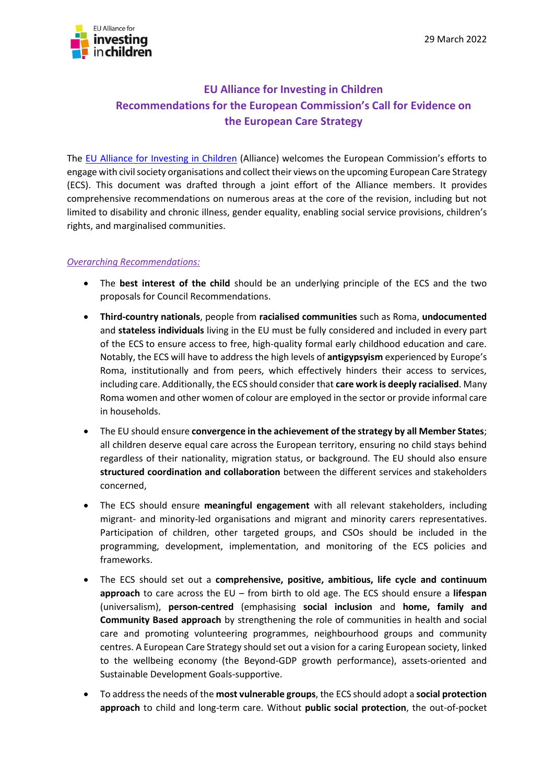

# **EU Alliance for Investing in Children Recommendations for the European Commission's Call for Evidence on the European Care Strategy**

The [EU Alliance for Investing in Children](https://www.alliance4investinginchildren.eu/) (Alliance) welcomes the European Commission's efforts to engage with civil society organisations and collect their views on the upcoming European Care Strategy (ECS). This document was drafted through a joint effort of the Alliance members. It provides comprehensive recommendations on numerous areas at the core of the revision, including but not limited to disability and chronic illness, gender equality, enabling social service provisions, children's rights, and marginalised communities.

## *Overarching Recommendations:*

- The **best interest of the child** should be an underlying principle of the ECS and the two proposals for Council Recommendations.
- **Third-country nationals**, people from **racialised communities** such as Roma, **undocumented**  and **stateless individuals** living in the EU must be fully considered and included in every part of the ECS to ensure access to free, high-quality formal early childhood education and care. Notably, the ECS will have to address the high levels of **antigypsyism** experienced by Europe's Roma, institutionally and from peers, which effectively hinders their access to services, including care. Additionally, the ECS should consider that **care work is deeply racialised**. Many Roma women and other women of colour are employed in the sector or provide informal care in households.
- The EU should ensure **convergence in the achievement of the strategy by all Member States**; all children deserve equal care across the European territory, ensuring no child stays behind regardless of their nationality, migration status, or background. The EU should also ensure **structured coordination and collaboration** between the different services and stakeholders concerned,
- The ECS should ensure **meaningful engagement** with all relevant stakeholders, including migrant- and minority-led organisations and migrant and minority carers representatives. Participation of children, other targeted groups, and CSOs should be included in the programming, development, implementation, and monitoring of the ECS policies and frameworks.
- The ECS should set out a **comprehensive, positive, ambitious, life cycle and continuum approach** to care across the EU – from birth to old age. The ECS should ensure a **lifespan** (universalism), **person-centred** (emphasising **social inclusion** and **home, family and Community Based approach** by strengthening the role of communities in health and social care and promoting volunteering programmes, neighbourhood groups and community centres. A European Care Strategy should set out a vision for a caring European society, linked to the wellbeing economy (the Beyond-GDP growth performance), assets-oriented and Sustainable Development Goals-supportive.
- To address the needs of the **most vulnerable groups**, the ECS should adopt a **social protection approach** to child and long-term care. Without **public social protection**, the out-of-pocket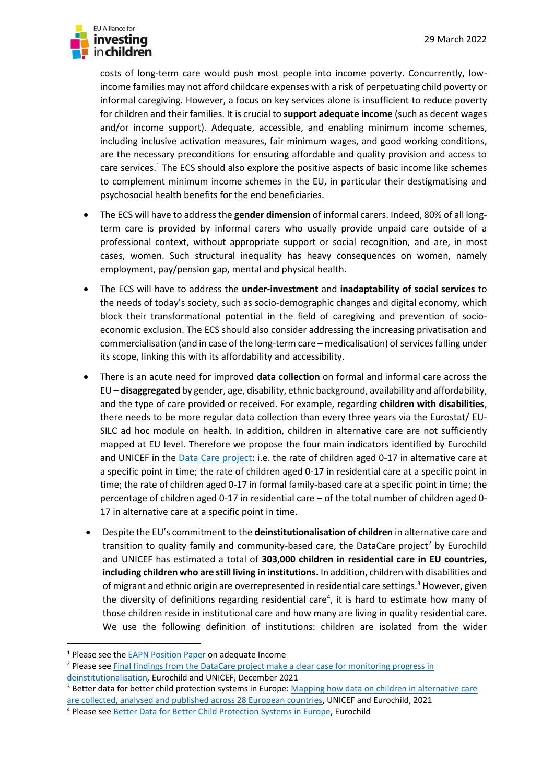

costs of long-term care would push most people into income poverty. Concurrently, lowincome families may not afford childcare expenses with a risk of perpetuating child poverty or informal caregiving. However, a focus on key services alone is insufficient to reduce poverty for children and their families. It is crucial to **support adequate income** (such as decent wages and/or income support). Adequate, accessible, and enabling minimum income schemes, including inclusive activation measures, fair minimum wages, and good working conditions, are the necessary preconditions for ensuring affordable and quality provision and access to care services.<sup>1</sup> The ECS should also explore the positive aspects of basic income like schemes to complement minimum income schemes in the EU, in particular their destigmatising and psychosocial health benefits for the end beneficiaries.

- The ECS will have to address the **gender dimension** of informal carers. Indeed, 80% of all longterm care is provided by informal carers who usually provide unpaid care outside of a professional context, without appropriate support or social recognition, and are, in most cases, women. Such structural inequality has heavy consequences on women, namely employment, pay/pension gap, mental and physical health.
- The ECS will have to address the **under-investment** and **inadaptability of social services** to the needs of today's society, such as socio-demographic changes and digital economy, which block their transformational potential in the field of caregiving and prevention of socioeconomic exclusion. The ECS should also consider addressing the increasing privatisation and commercialisation (and in case of the long-term care – medicalisation) of services falling under its scope, linking this with its affordability and accessibility.
- There is an acute need for improved **data collection** on formal and informal care across the EU – **disaggregated** by gender, age, disability, ethnic background, availability and affordability, and the type of care provided or received. For example, regarding **children with disabilities**, there needs to be more regular data collection than every three years via the Eurostat/ EU-SILC ad hoc module on health. In addition, children in alternative care are not sufficiently mapped at EU level. Therefore we propose the four main indicators identified by Eurochild and UNICEF in the [Data Care project:](https://eurochild.org/uploads/2021/12/Children-in-alternative-care_Comparable-statistics-to-monitor-progress-on-DI-across-the-EU.pdf) i.e. the rate of children aged 0-17 in alternative care at a specific point in time; the rate of children aged 0-17 in residential care at a specific point in time; the rate of children aged 0-17 in formal family-based care at a specific point in time; the percentage of children aged 0-17 in residential care – of the total number of children aged 0- 17 in alternative care at a specific point in time.
- Despite the EU's commitment to the **deinstitutionalisation of children** in alternative care and transition to quality family and community-based care, the DataCare project<sup>2</sup> by Eurochild and UNICEF has estimated a total of **303,000 children in residential care in EU countries, including children who are still living in institutions.** In addition, children with disabilities and of migrant and ethnic origin are overrepresented in residential care settings.<sup>3</sup> However, given the diversity of definitions regarding residential care<sup>4</sup>, it is hard to estimate how many of those children reside in institutional care and how many are living in quality residential care. We use the following definition of institutions: children are isolated from the wider

<sup>1</sup> Please see the [EAPN Position Paper](https://www.eapn.eu/eapn-position-paper-on-adequate-income/) on adequate Income

<sup>&</sup>lt;sup>2</sup> Please see Final findings from the DataCare project make a clear case for monitoring progress in [deinstitutionalisation](https://www.eurochild.org/news/new-research-from-eurochild-and-unicef-makes-a-clear-case-for-monitoring-progress-in-deinstitutionalisation-for-children-in-alternative-care/)*,* Eurochild and UNICEF, December 2021

<sup>&</sup>lt;sup>3</sup> Better data for better child protection systems in Europe: Mapping how data on children in alternative care [are collected, analysed and published across 28 European countries,](https://eurochild.org/uploads/2022/01/UNICEF-DataCare-Technical-Report-Final.pdf) UNICEF and Eurochild, 2021

<sup>4</sup> Please see [Better Data for Better Child Protection Systems in Europe,](https://www.eurochild.org/resource/better-data-for-better-child-protection-systems-in-europe/) Eurochild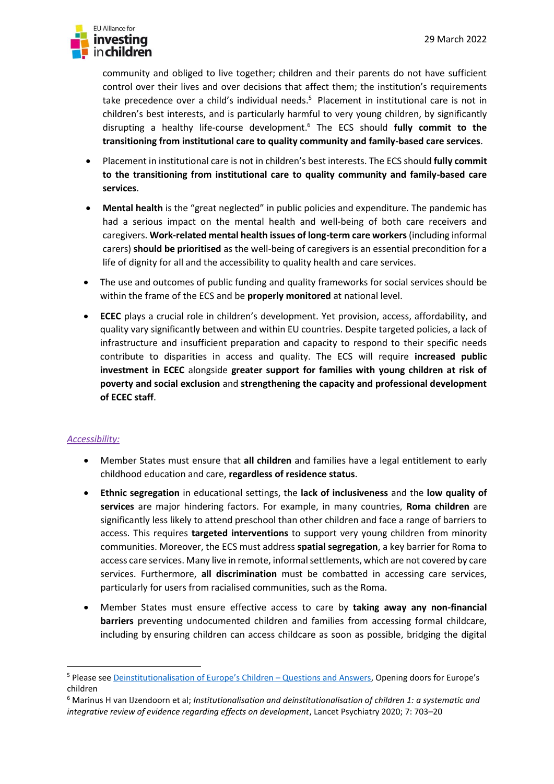

community and obliged to live together; children and their parents do not have sufficient control over their lives and over decisions that affect them; the institution's requirements take precedence over a child's individual needs. <sup>5</sup> Placement in institutional care is not in children's best interests, and is particularly harmful to very young children, by significantly disrupting a healthy life-course development. <sup>6</sup> The ECS should **fully commit to the transitioning from institutional care to quality community and family-based care services**.

- Placement in institutional care is not in children's best interests. The ECS should **fully commit to the transitioning from institutional care to quality community and family-based care services**.
- **Mental health** is the "great neglected" in public policies and expenditure. The pandemic has had a serious impact on the mental health and well-being of both care receivers and caregivers. **Work-related mental health issues of long-term care workers**(including informal carers) **should be prioritised** as the well-being of caregivers is an essential precondition for a life of dignity for all and the accessibility to quality health and care services.
- The use and outcomes of public funding and quality frameworks for social services should be within the frame of the ECS and be **properly monitored** at national level.
- **ECEC** plays a crucial role in children's development. Yet provision, access, affordability, and quality vary significantly between and within EU countries. Despite targeted policies, a lack of infrastructure and insufficient preparation and capacity to respond to their specific needs contribute to disparities in access and quality. The ECS will require **increased public investment in ECEC** alongside **greater support for families with young children at risk of poverty and social exclusion** and **strengthening the capacity and professional development of ECEC staff**.

#### *Accessibility:*

- Member States must ensure that **all children** and families have a legal entitlement to early childhood education and care, **regardless of residence status**.
- **Ethnic segregation** in educational settings, the **lack of inclusiveness** and the **low quality of services** are major hindering factors. For example, in many countries, **Roma children** are significantly less likely to attend preschool than other children and face a range of barriers to access. This requires **targeted interventions** to support very young children from minority communities. Moreover, the ECS must address **spatial segregation**, a key barrier for Roma to access care services. Many live in remote, informal settlements, which are not covered by care services. Furthermore, **all discrimination** must be combatted in accessing care services, particularly for users from racialised communities, such as the Roma.
- Member States must ensure effective access to care by **taking away any non-financial barriers** preventing undocumented children and families from accessing formal childcare, including by ensuring children can access childcare as soon as possible, bridging the digital

<sup>5</sup> Please see [Deinstitutionalisation of Europe](https://www.openingdoors.eu/wp-content/uploads/2017/12/OD_DI_QA_07122017.pdf)'s Children – Questions and Answers, Opening doors for Europe's children

<sup>6</sup> Marinus H van IJzendoorn et al; *Institutionalisation and deinstitutionalisation of children 1: a systematic and integrative review of evidence regarding effects on development*, Lancet Psychiatry 2020; 7: 703–20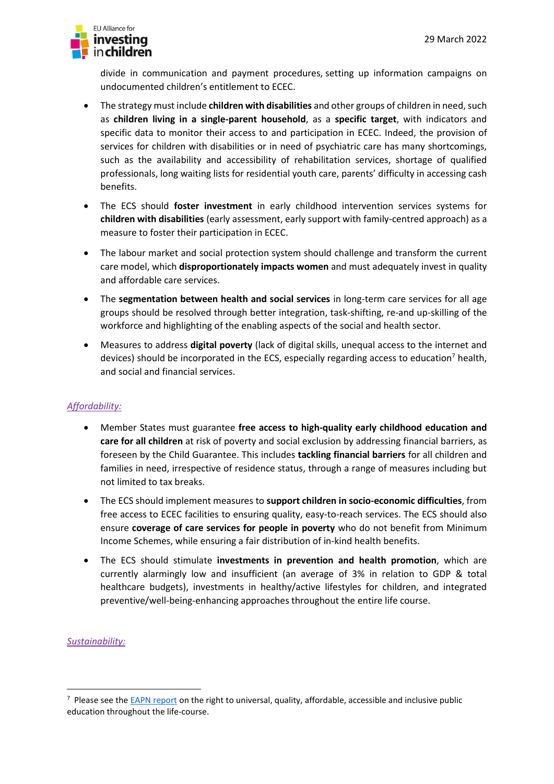

divide in communication and payment procedures, setting up information campaigns on undocumented children's entitlement to ECEC.

- The strategy must include **children with disabilities** and other groups of children in need, such as **children living in a single-parent household**, as a **specific target**, with indicators and specific data to monitor their access to and participation in ECEC. Indeed, the provision of services for children with disabilities or in need of psychiatric care has many shortcomings, such as the availability and accessibility of rehabilitation services, shortage of qualified professionals, long waiting lists for residential youth care, parents' difficulty in accessing cash benefits.
- The ECS should **foster investment** in early childhood intervention services systems for **children with disabilities** (early assessment, early support with family-centred approach) as a measure to foster their participation in ECEC.
- The labour market and social protection system should challenge and transform the current care model, which **disproportionately impacts women** and must adequately invest in quality and affordable care services.
- The **segmentation between health and social services** in long-term care services for all age groups should be resolved through better integration, task-shifting, re-and up-skilling of the workforce and highlighting of the enabling aspects of the social and health sector.
- Measures to address **digital poverty** (lack of digital skills, unequal access to the internet and devices) should be incorporated in the ECS, especially regarding access to education<sup>7</sup> health, and social and financial services.

# *Affordability:*

- Member States must guarantee **free access to high-quality early childhood education and care for all children** at risk of poverty and social exclusion by addressing financial barriers, as foreseen by the Child Guarantee. This includes **tackling financial barriers** for all children and families in need, irrespective of residence status, through a range of measures including but not limited to tax breaks.
- The ECS should implement measures to **support children in socio-economic difficulties**, from free access to ECEC facilities to ensuring quality, easy-to-reach services. The ECS should also ensure **coverage of care services for people in poverty** who do not benefit from Minimum Income Schemes, while ensuring a fair distribution of in-kind health benefits.
- The ECS should stimulate **investments in prevention and health promotion**, which are currently alarmingly low and insufficient (an average of 3% in relation to GDP & total healthcare budgets), investments in healthy/active lifestyles for children, and integrated preventive/well-being-enhancing approaches throughout the entire life course.

# *Sustainability:*

 $7$  Please see the [EAPN report](https://www.eapn.eu/leaving-nobody-behind-ensuring-education-vocational-training-and-lifelong-learning-contributes-to-the-prevention-and-reduction-of-poverty-and-social-exclusion-eapn-key-issues-and-promising-pract/) on the right to universal, quality, affordable, accessible and inclusive public education throughout the life-course.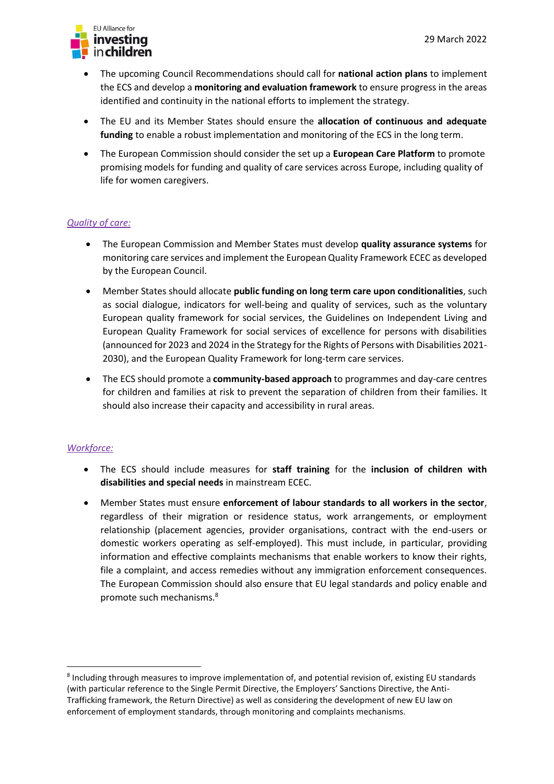

- The upcoming Council Recommendations should call for **national action plans** to implement the ECS and develop a **monitoring and evaluation framework** to ensure progress in the areas identified and continuity in the national efforts to implement the strategy.
- The EU and its Member States should ensure the **allocation of continuous and adequate funding** to enable a robust implementation and monitoring of the ECS in the long term.
- The European Commission should consider the set up a **European Care Platform** to promote promising models for funding and quality of care services across Europe, including quality of life for women caregivers.

# *Quality of care:*

- The European Commission and Member States must develop **quality assurance systems** for monitoring care services and implement the European Quality Framework ECEC as developed by the European Council.
- Member States should allocate **public funding on long term care upon conditionalities**, such as social dialogue, indicators for well-being and quality of services, such as the voluntary European quality framework for social services, the Guidelines on Independent Living and European Quality Framework for social services of excellence for persons with disabilities (announced for 2023 and 2024 in the Strategy for the Rights of Persons with Disabilities 2021- 2030), and the European Quality Framework for long-term care services.
- The ECS should promote a **community-based approach** to programmes and day-care centres for children and families at risk to prevent the separation of children from their families. It should also increase their capacity and accessibility in rural areas.

#### *Workforce:*

- The ECS should include measures for **staff training** for the **inclusion of children with disabilities and special needs** in mainstream ECEC.
- Member States must ensure **enforcement of labour standards to all workers in the sector**, regardless of their migration or residence status, work arrangements, or employment relationship (placement agencies, provider organisations, contract with the end-users or domestic workers operating as self-employed). This must include, in particular, providing information and effective complaints mechanisms that enable workers to know their rights, file a complaint, and access remedies without any immigration enforcement consequences. The European Commission should also ensure that EU legal standards and policy enable and promote such mechanisms.<sup>8</sup>

<sup>&</sup>lt;sup>8</sup> Including through measures to improve implementation of, and potential revision of, existing EU standards (with particular reference to the Single Permit Directive, the Employers' Sanctions Directive, the Anti-Trafficking framework, the Return Directive) as well as considering the development of new EU law on enforcement of employment standards, through monitoring and complaints mechanisms.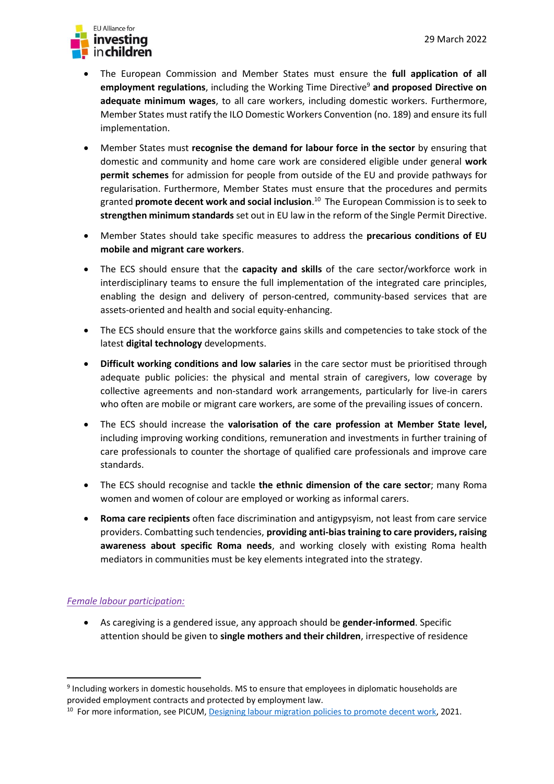

- The European Commission and Member States must ensure the **full application of all employment regulations**, including the Working Time Directive<sup>9</sup> and proposed Directive on **adequate minimum wages**, to all care workers, including domestic workers. Furthermore, Member States must ratify the ILO Domestic Workers Convention (no. 189) and ensure its full implementation.
- Member States must **recognise the demand for labour force in the sector** by ensuring that domestic and community and home care work are considered eligible under general **work permit schemes** for admission for people from outside of the EU and provide pathways for regularisation. Furthermore, Member States must ensure that the procedures and permits granted **promote decent work and social inclusion**. 10 The European Commission is to seek to **strengthen minimum standards** set out in EU law in the reform of the Single Permit Directive.
- Member States should take specific measures to address the **precarious conditions of EU mobile and migrant care workers**.
- The ECS should ensure that the **capacity and skills** of the care sector/workforce work in interdisciplinary teams to ensure the full implementation of the integrated care principles, enabling the design and delivery of person-centred, community-based services that are assets-oriented and health and social equity-enhancing.
- The ECS should ensure that the workforce gains skills and competencies to take stock of the latest **digital technology** developments.
- **Difficult working conditions and low salaries** in the care sector must be prioritised through adequate public policies: the physical and mental strain of caregivers, low coverage by collective agreements and non-standard work arrangements, particularly for live-in carers who often are mobile or migrant care workers, are some of the prevailing issues of concern.
- The ECS should increase the **valorisation of the care profession at Member State level,**  including improving working conditions, remuneration and investments in further training of care professionals to counter the shortage of qualified care professionals and improve care standards.
- The ECS should recognise and tackle **the ethnic dimension of the care sector**; many Roma women and women of colour are employed or working as informal carers.
- **Roma care recipients** often face discrimination and antigypsyism, not least from care service providers. Combatting such tendencies, **providing anti-bias training to care providers, raising awareness about specific Roma needs**, and working closely with existing Roma health mediators in communities must be key elements integrated into the strategy.

#### *Female labour participation:*

• As caregiving is a gendered issue, any approach should be **gender-informed**. Specific attention should be given to **single mothers and their children**, irrespective of residence

<sup>&</sup>lt;sup>9</sup> Including workers in domestic households. MS to ensure that employees in diplomatic households are provided employment contracts and protected by employment law.

<sup>&</sup>lt;sup>10</sup> For more information, see PICUM, **Designing labour migration policies to promote decent work**, 2021.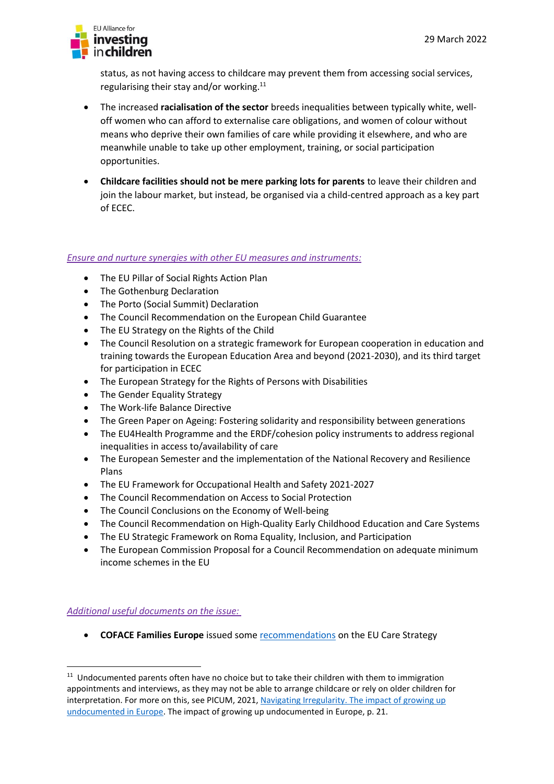

status, as not having access to childcare may prevent them from accessing social services, regularising their stay and/or working.<sup>11</sup>

- The increased **racialisation of the sector** breeds inequalities between typically white, welloff women who can afford to externalise care obligations, and women of colour without means who deprive their own families of care while providing it elsewhere, and who are meanwhile unable to take up other employment, training, or social participation opportunities.
- **Childcare facilities should not be mere parking lots for parents** to leave their children and join the labour market, but instead, be organised via a child-centred approach as a key part of ECEC.

## *Ensure and nurture synergies with other EU measures and instruments:*

- The EU Pillar of Social Rights Action Plan
- The Gothenburg Declaration
- The Porto (Social Summit) Declaration
- The Council Recommendation on the European Child Guarantee
- The EU Strategy on the Rights of the Child
- The Council Resolution on a strategic framework for European cooperation in education and training towards the European Education Area and beyond (2021-2030), and its third target for participation in ECEC
- The European Strategy for the Rights of Persons with Disabilities
- The Gender Equality Strategy
- The Work-life Balance Directive
- The Green Paper on Ageing: Fostering solidarity and responsibility between generations
- The EU4Health Programme and the ERDF/cohesion policy instruments to address regional inequalities in access to/availability of care
- The European Semester and the implementation of the National Recovery and Resilience Plans
- The EU Framework for Occupational Health and Safety 2021-2027
- The Council Recommendation on Access to Social Protection
- The Council Conclusions on the Economy of Well-being
- The Council Recommendation on High-Quality Early Childhood Education and Care Systems
- The EU Strategic Framework on Roma Equality, Inclusion, and Participation
- The European Commission Proposal for a Council Recommendation on adequate minimum income schemes in the EU

*Additional useful documents on the issue:*

• **COFACE Families Europe** issued some [recommendations](https://coface-eu.org/eu-care-package-coface-families-europe-recommendations/) on the EU Care Strategy

<sup>&</sup>lt;sup>11</sup> Undocumented parents often have no choice but to take their children with them to immigration appointments and interviews, as they may not be able to arrange childcare or rely on older children for interpretation. For more on this, see PICUM, 2021, [Navigating Irregularity.](https://picum.org/wp-content/uploads/2021/03/Navigating-Irregularity_EN.pdf) The impact of growing up undocumented in Europe. The impact of growing up undocumented in Europe, p. 21.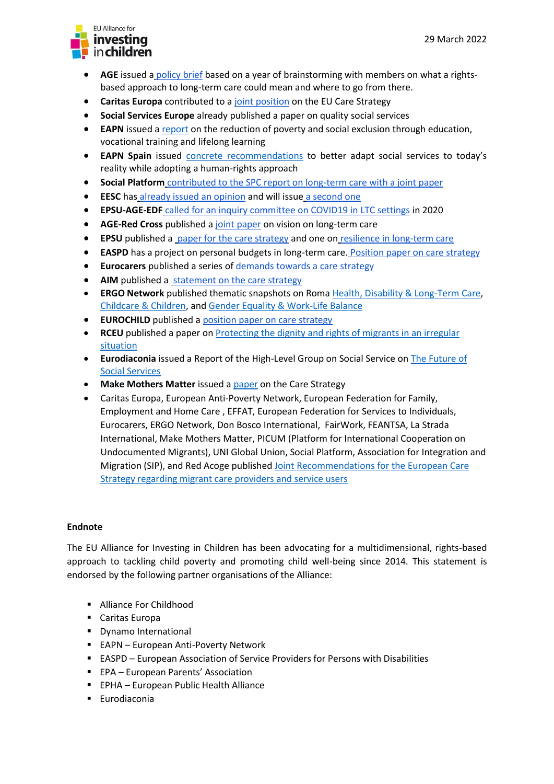

- **AGE** issued a [policy brief](https://www.age-platform.eu/publications/care-must-empower-us-throughout-our-lives-age-position-paper) based on a year of brainstorming with members on what a rightsbased approach to long-term care could mean and where to go from there.
- **Caritas Europa** contributed to a [joint position](https://www.caritas.eu/eu-care-strategy/) on the EU Care Strategy
- **Social Services Europe** already published a paper on quality social services
- **EAPN** issued a [report](https://www.eapn.eu/wp-content/uploads/2020/08/EAPN-EAPN_Education_Training_Lifelong_Learning_Paper-4596.pdf) on the reduction of poverty and social exclusion through education, vocational training and lifelong learning
- **EAPN Spain** issued [concrete recommendations](https://www.eapn.es/publicaciones/487/analisis-de-los-servicios-sociales-las-personas-atendidas-y-la-perspectiva-autonomica) to better adapt social services to today's reality while adopting a human-rights approach
- **Social Platform** [contributed to the SPC report on long-term care with a joint paper](https://ec.europa.eu/social/main.jsp?catId=738&langId=en&pubId=8396)
- **• EESC** has [already issued an opinion](https://www.eesc.europa.eu/en/our-work/opinions-information-reports/opinions/towards-new-care-model-elderly-learning-covid-19-pandemic-own-initiative-opinion-gr-iii) and will issue [a second one](https://www.eesc.europa.eu/en/our-work/opinions-information-reports/opinions/health-workforce-and-care-strategy-future-europe)
- **EPSU-AGE-EDF** [called for an inquiry committee on COVID19 in LTC settings](https://towardsanagefriendlyep.com/2020/07/30/an-investigation-on-long-term-care-during-covid-19-at-european-level/) in 2020
- **AGE-Red Cross** [published a joint paper](https://age-platform.eu/sites/default/files/Shared%20conclusions_AGE-RCEU_FINAL.pdf) on vision on long-term care
- **EPSU** published a [paper for the care strategy](https://www.epsu.org/article/social-employers-and-epsu-release-joint-position-paper-forthcoming-european-care-strategy) and one on [resilience in long-term care](https://www.epsu.org/article/epsu-report-reveals-hundreds-thousands-long-term-care-workers-leaving-sector)
- **EASPD** has a project on personal budgets in long-term care. [Position paper on care strategy](https://www.easpd.eu/fileadmin/user_upload/EU_Care_Strategy_EASPD_Position_Paper__1_-1-24.pdf)
- **Eurocarers** [published a series of demands towards a care strategy](https://eurocarers.org/publications/the-eu-strategy-on-care/)
- **AIM** published a [statement on the care strategy](https://www.aim-mutual.org/wp-content/uploads/2022/02/The-EU-Care-Strategy_FINAL-1.pdf)
- **ERGO Network** published thematic snapshots on Roma [Health, Disability & Long-Term Care,](https://bit.ly/3ltbz3i) [Childcare & Children,](https://bit.ly/3GeUMc2) and [Gender Equality & Work-Life Balance](https://ergonetwork.org/wp-content/uploads/2021/11/2-Gender-equality-and-work-life-balance.pdf)
- **EUROCHILD** published a position paper on care strategy
- **RCEU** published a paper on Protecting the dignity and rights of migrants in an irregular [situation](https://redcross.eu/positions-publications/protecting-the-dignity-and-rights-of-migrants-in-an-irregular-situation-1#:~:text=Protecting%20the%20dignity%20and%20rights%20of%20migrants%20in,the%20EU%20so%20as%20to%20reduce%20irregular%20migration.)
- **Eurodiaconia** issued a Report of the High-Level Group on Social Service o[n The Future of](https://www.eurodiaconia.org/wordpress/wp-content/uploads/2021/01/High-level-Group-report-FINAL.pdf)  [Social Services](https://www.eurodiaconia.org/wordpress/wp-content/uploads/2021/01/High-level-Group-report-FINAL.pdf)
- **Make Mothers Matter** issued a [paper](https://makemothersmatter.org/the-european-care-strategy-the-right-time-to-place-mothers-centre-stage/) on the Care Strategy
- Caritas Europa, European Anti-Poverty Network, European Federation for Family, Employment and Home Care , EFFAT, European Federation for Services to Individuals, Eurocarers, ERGO Network, Don Bosco International, FairWork, FEANTSA, La Strada International, Make Mothers Matter, PICUM (Platform for International Cooperation on Undocumented Migrants), UNI Global Union, Social Platform, Association for Integration and Migration (SIP), and Red Acoge published Joint Recommendations [for the European Care](https://picum.org/wp-content/uploads/2022/03/Joint-recommendations-EU-Care-Strategy-migrant-care-providers-and-service-users-17-March.pdf)  [Strategy regarding migrant care providers and service users](https://picum.org/wp-content/uploads/2022/03/Joint-recommendations-EU-Care-Strategy-migrant-care-providers-and-service-users-17-March.pdf)

# **Endnote**

The EU Alliance for Investing in Children has been advocating for a multidimensional, rights-based approach to tackling child poverty and promoting child well-being since 2014. This statement is endorsed by the following partner organisations of the Alliance:

- Alliance For Childhood
- Caritas Europa
- Dynamo International
- EAPN European Anti-Poverty Network
- EASPD European Association of Service Providers for Persons with Disabilities
- EPA European Parents' Association
- EPHA European Public Health Alliance
- Eurodiaconia